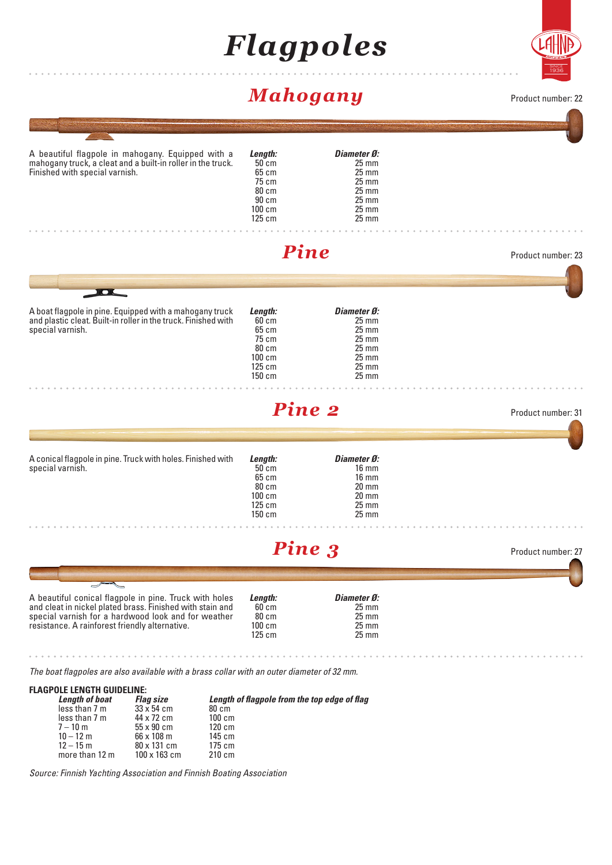# *Flagpoles*



### *Mahogany*

Product number: 22

|                                                                                                                                                                                                                                                                                                                                                   | $\cdots$ and $\cdots$ $\cdots$                                              |                                                                                                                                          |                    |
|---------------------------------------------------------------------------------------------------------------------------------------------------------------------------------------------------------------------------------------------------------------------------------------------------------------------------------------------------|-----------------------------------------------------------------------------|------------------------------------------------------------------------------------------------------------------------------------------|--------------------|
|                                                                                                                                                                                                                                                                                                                                                   |                                                                             |                                                                                                                                          |                    |
| A beautiful flagpole in mahogany. Equipped with a<br>mahogany truck, a cleat and a built-in roller in the truck.<br>Finished with special varnish.                                                                                                                                                                                                | Length:<br>$50$ cm<br>65 cm<br>75 cm<br>80 cm<br>90 cm<br>100 cm<br>125 cm  | Diameter Ø:<br>$25 \, \text{mm}$<br>$25$ mm<br>$25 \, \text{mm}$<br>$25 \, \text{mm}$<br>$25 \, \text{mm}$<br>$25 \text{ mm}$<br>$25$ mm |                    |
|                                                                                                                                                                                                                                                                                                                                                   |                                                                             | <b>Pine</b>                                                                                                                              | Product number: 23 |
|                                                                                                                                                                                                                                                                                                                                                   |                                                                             |                                                                                                                                          |                    |
| <b>IOL</b><br>A boat flagpole in pine. Equipped with a mahogany truck<br>and plastic cleat. Built-in roller in the truck. Finished with<br>special varnish.                                                                                                                                                                                       | Length:<br>$60$ cm<br>65 cm<br>75 cm<br>80 cm<br>100 cm<br>125 cm<br>150 cm | Diameter Ø:<br>$25$ mm<br>$25$ mm<br>$25 \text{ mm}$<br>$25 \, \text{mm}$<br>$25 \text{ mm}$<br>$25 \text{ mm}$<br>$25 \, \text{mm}$     |                    |
|                                                                                                                                                                                                                                                                                                                                                   |                                                                             | <b>Pine 2</b>                                                                                                                            | Product number: 31 |
| A conical flagpole in pine. Truck with holes. Finished with                                                                                                                                                                                                                                                                                       | Length:                                                                     | Diameter Ø:                                                                                                                              |                    |
| special varnish.                                                                                                                                                                                                                                                                                                                                  | 50 cm<br>65 cm<br>80 cm<br>$100 \text{ cm}$<br>125 cm<br>150 cm             | $16 \text{ mm}$<br>$16 \text{ mm}$<br>$20$ mm<br>$20 \text{ mm}$<br>$25 \, \text{mm}$<br>$25$ mm                                         |                    |
|                                                                                                                                                                                                                                                                                                                                                   |                                                                             | Pine 3                                                                                                                                   | Product number: 27 |
|                                                                                                                                                                                                                                                                                                                                                   |                                                                             |                                                                                                                                          |                    |
| A beautiful conical flagpole in pine. Truck with holes<br>and cleat in nickel plated brass. Finished with stain and<br>special varnish for a hardwood look and for weather<br>resistance. A rainforest friendly alternative.                                                                                                                      | Length:<br>60 cm<br>80 cm<br>$100 \text{ cm}$<br>$125 \text{ cm}$           | Diameter Ø:<br>$25 \text{ mm}$<br>$25 \text{ mm}$<br>$25 \text{ mm}$<br>$25 \text{ mm}$                                                  |                    |
|                                                                                                                                                                                                                                                                                                                                                   |                                                                             |                                                                                                                                          |                    |
| The boat flagpoles are also available with a brass collar with an outer diameter of 32 mm.                                                                                                                                                                                                                                                        |                                                                             |                                                                                                                                          |                    |
| <b>FLAGPOLE LENGTH GUIDELINE:</b><br><b>Length of boat</b><br><b>Flag size</b><br>less than 7 m<br>$33 \times 54$ cm<br>80 cm<br>less than 7 m<br>44 x 72 cm<br>100 cm<br>$7 - 10$ m<br>55 x 90 cm<br>$120 \text{ cm}$<br>$10 - 12 m$<br>66 x 108 m<br>145 cm<br>$12 - 15$ m<br>80 x 131 cm<br>175 cm<br>more than 12 m<br>100 x 163 cm<br>210 cm |                                                                             | Length of flagpole from the top edge of flag                                                                                             |                    |

*Source: Finnish Yachting Association and Finnish Boating Association*